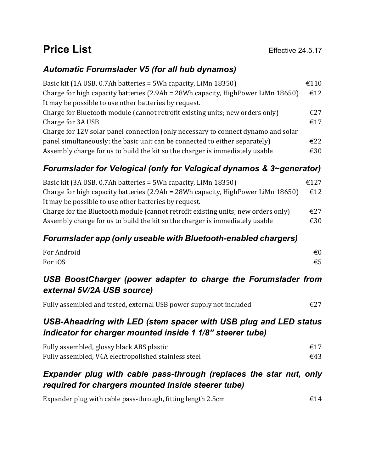# **Price List** Effective 24.5.17

#### *Automatic Forumslader V5 (for all hub dynamos)*

| Basic kit (1A USB, 0.7Ah batteries = 5Wh capacity, LiMn 18350)                    | €110 |
|-----------------------------------------------------------------------------------|------|
| Charge for high capacity batteries (2.9Ah = 28Wh capacity, HighPower LiMn 18650)  | €12  |
| It may be possible to use other batteries by request.                             |      |
| Charge for Bluetooth module (cannot retrofit existing units; new orders only)     | €27  |
| Charge for 3A USB                                                                 | €17  |
| Charge for 12V solar panel connection (only necessary to connect dynamo and solar |      |
| panel simultaneously; the basic unit can be connected to either separately)       | E22  |
| Assembly charge for us to build the kit so the charger is immediately usable      | €30  |

## *Forumslader for Velogical (only for Velogical dynamos & 3~generator)*

| Basic kit (3A USB, 0.7Ah batteries = 5Wh capacity, LiMn 18350)                     | €127 |
|------------------------------------------------------------------------------------|------|
| Charge for high capacity batteries $(2.9Ah = 28Wh$ capacity, HighPower LiMn 18650) | €12  |
| It may be possible to use other batteries by request.                              |      |
| Charge for the Bluetooth module (cannot retrofit existing units; new orders only)  | £27  |
| Assembly charge for us to build the kit so the charger is immediately usable       | €30  |

#### *Forumslader app (only useable with Bluetooth-enabled chargers)*

| For Android | $\epsilon$ <sub>0</sub> |
|-------------|-------------------------|
| For iOS     | €5                      |

#### *USB BoostCharger (power adapter to charge the Forumslader from external 5V/2A USB source)*

Fully assembled and tested, external USB power supply not included  $\epsilon$ 27

#### *USB-Aheadring with LED (stem spacer with USB plug and LED status indicator for charger mounted inside 1 1/8" steerer tube)*

| Fully assembled, glossy black ABS plastic            | €17 |
|------------------------------------------------------|-----|
| Fully assembled, V4A electropolished stainless steel | €43 |

### *Expander plug with cable pass-through (replaces the star nut, only required for chargers mounted inside steerer tube)*

| Expander plug with cable pass-through, fitting length 2.5cm | €14 |
|-------------------------------------------------------------|-----|
|                                                             |     |
|                                                             |     |